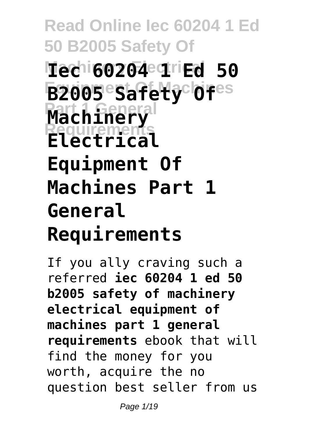**Read Online Iec 60204 1 Ed 50 B2005 Safety Of Machinery Electrical Iec 60204 1 Ed 50 Equipment Of Machines B2005 Safety Of Part 1 General Machinery Requirements Electrical Equipment Of Machines Part 1 General Requirements**

If you ally craving such a referred **iec 60204 1 ed 50 b2005 safety of machinery electrical equipment of machines part 1 general requirements** ebook that will find the money for you worth, acquire the no question best seller from us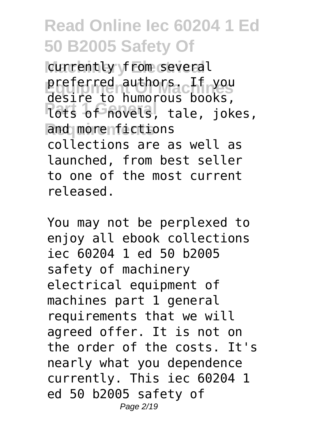currently from several preferred authors. If you **Parts of novels, tale, jokes,** and morenfictions desire to humorous books, collections are as well as launched, from best seller to one of the most current released.

You may not be perplexed to enjoy all ebook collections iec 60204 1 ed 50 b2005 safety of machinery electrical equipment of machines part 1 general requirements that we will agreed offer. It is not on the order of the costs. It's nearly what you dependence currently. This iec 60204 1 ed 50 b2005 safety of Page 2/19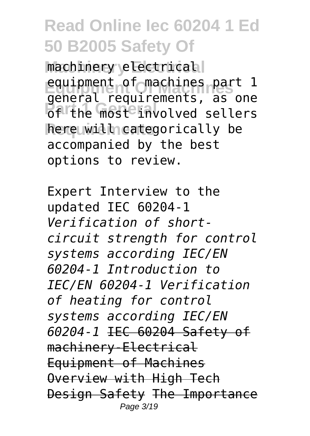machinery electrical equipment of machines part 1 of the most involved sellers **Requirements** here will categorically be general requirements, as one accompanied by the best options to review.

Expert Interview to the updated IEC 60204-1 *Verification of shortcircuit strength for control systems according IEC/EN 60204-1 Introduction to IEC/EN 60204-1 Verification of heating for control systems according IEC/EN 60204-1* IEC 60204 Safety of machinery-Electrical Equipment of Machines Overview with High Tech Design Safety The Importance Page 3/19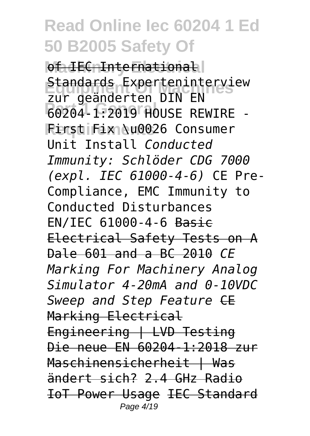of IEC International **Standards Experteninterview**<br>Elim Geönderten BIN EN **Part 1 General** 60204-1:2019 HOUSE REWIRE - **Requirements** First Fix \u0026 Consumer zur geänderten DIN EN Unit Install *Conducted Immunity: Schlöder CDG 7000 (expl. IEC 61000-4-6)* CE Pre-Compliance, EMC Immunity to Conducted Disturbances EN/IEC 61000-4-6 Basic Electrical Safety Tests on A Dale 601 and a BC 2010 *CE Marking For Machinery Analog Simulator 4-20mA and 0-10VDC* **Sweep and Step Feature CE** Marking Electrical Engineering | LVD Testing Die neue EN 60204-1:2018 zur Maschinensicherheit | Was ändert sich? 2.4 GHz Radio IoT Power Usage IEC Standard Page 4/19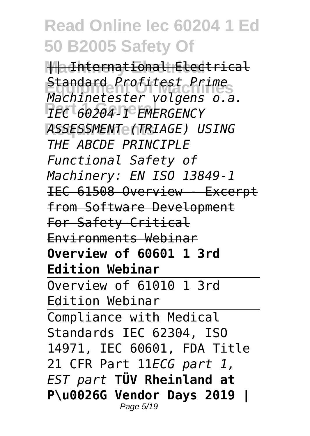**|| a International Electrical Equipment Of Machines** *Machinetester volgens o.a.* **Part 1 General** *IEC 60204-1 EMERGENCY* **Requirements** *ASSESSMENT (TRIAGE) USING* Standard *Profitest Prime THE ABCDE PRINCIPLE Functional Safety of Machinery: EN ISO 13849-1* IEC 61508 Overview - Excerpt from Software Development For Safety-Critical Environments Webinar **Overview of 60601 1 3rd Edition Webinar** Overview of 61010 1 3rd Edition Webinar Compliance with Medical Standards IEC 62304, ISO 14971, IEC 60601, FDA Title 21 CFR Part 11*ECG part 1, EST part* **TÜV Rheinland at P\u0026G Vendor Days 2019 |** Page 5/19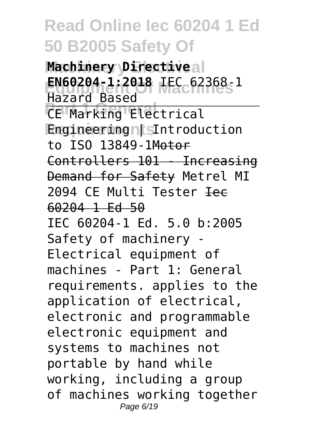**Machinery Directiveal Equipment Of Machines EN60204-1:2018** IEC 62368-1 **CE Marking Electrical** Engineering n<sub>is</sub>Introduction Hazard Based to ISO 13849-1Motor Controllers 101 - Increasing Demand for Safety Metrel MI 2094 CE Multi Tester <del>Iec</del> 60204 1 Ed 50 IEC 60204-1 Ed. 5.0 b:2005 Safety of machinery - Electrical equipment of machines - Part 1: General requirements. applies to the application of electrical, electronic and programmable electronic equipment and systems to machines not portable by hand while working, including a group of machines working together Page 6/19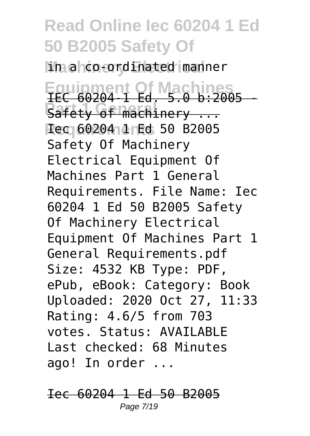in a co-ordinated manner

**Equipment Of Machines** IEC 60204-1 Ed. 5.0 b:2005 - **Part 1 General Street Street Street Street Street Street Street Street Street Street Street Street Street Street Rec 60204 1 Fd 50 B2005** Safety Of Machinery Electrical Equipment Of Machines Part 1 General Requirements. File Name: Iec 60204 1 Ed 50 B2005 Safety Of Machinery Electrical Equipment Of Machines Part 1 General Requirements.pdf Size: 4532 KB Type: PDF, ePub, eBook: Category: Book Uploaded: 2020 Oct 27, 11:33 Rating: 4.6/5 from 703 votes. Status: AVAILABLE Last checked: 68 Minutes ago! In order ...

Iec 60204 1 Ed 50 B2005 Page 7/19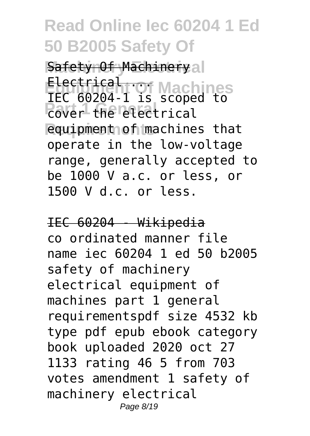Safety Of Machinery al Electrical **...**<br>TEC 60204 ... Machines **Part 1 General equipment of machines that** IEC 60204-1 is scoped to operate in the low-voltage range, generally accepted to be 1000 V a.c. or less, or 1500 V d.c. or less.

IEC 60204 - Wikipedia co ordinated manner file name iec 60204 1 ed 50 b2005 safety of machinery electrical equipment of machines part 1 general requirementspdf size 4532 kb type pdf epub ebook category book uploaded 2020 oct 27 1133 rating 46 5 from 703 votes amendment 1 safety of machinery electrical Page 8/19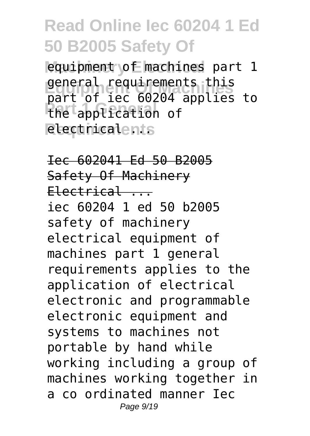equipment of machines part 1 general requirements this **Part 1 General** the application of **Requirements** electrical ... part of iec 60204 applies to

Iec 602041 Ed 50 B2005 Safety Of Machinery  $Electrical$ ... iec 60204 1 ed 50 b2005 safety of machinery electrical equipment of machines part 1 general requirements applies to the application of electrical electronic and programmable electronic equipment and systems to machines not portable by hand while working including a group of machines working together in a co ordinated manner Iec Page 9/19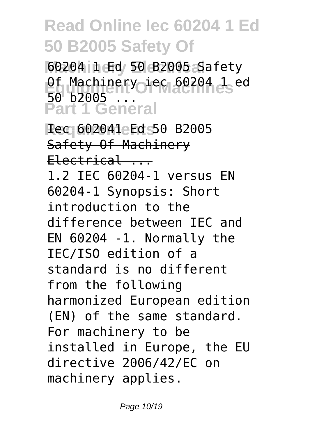**Machinery Electrical** 60204 1 Ed 50 B2005 Safety 0f Machinery iec 60204 1 ed **Part 1 General** 50 **b2005**.

**Rec 602041 Ed 50 B2005** Safety Of Machinery  $Electrical$ ... 1.2 IEC 60204-1 versus EN 60204-1 Synopsis: Short introduction to the difference between IEC and EN 60204 -1. Normally the IEC/ISO edition of a standard is no different from the following harmonized European edition (EN) of the same standard. For machinery to be installed in Europe, the EU directive 2006/42/EC on machinery applies.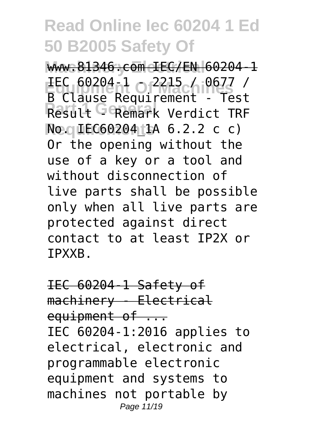www.81346.com IEC/EN 60204-1 **Equipment Of Machines** IEC 60204-1 - 2215 / 0677 / Result <sup>G</sup> Remark Verdict TRF **Req IEC60204 th 6.2.2 c c)** B Clause Requirement - Test Or the opening without the use of a key or a tool and without disconnection of live parts shall be possible only when all live parts are protected against direct contact to at least IP2X or IPXXB.

IEC 60204-1 Safety of machinery - Electrical equipment of ... IEC 60204-1:2016 applies to electrical, electronic and programmable electronic equipment and systems to machines not portable by Page 11/19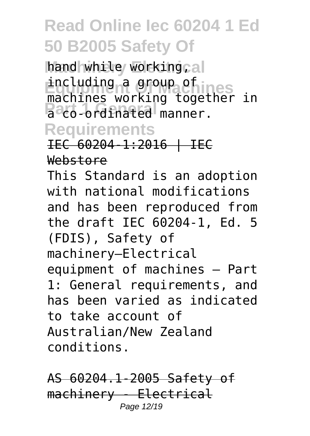hand while working<sub>cal</sub> including a group of mes **Part 1 General** manner. machines working together in

#### **Requirements**

IEC 60204-1:2016 | IEC Webstore

This Standard is an adoption with national modifications and has been reproduced from the draft IEC 60204-1, Ed. 5 (FDIS), Safety of machinery—Electrical equipment of machines – Part 1: General requirements, and has been varied as indicated to take account of Australian/New Zealand conditions.

AS 60204.1-2005 Safety of machinery - Electrical Page 12/19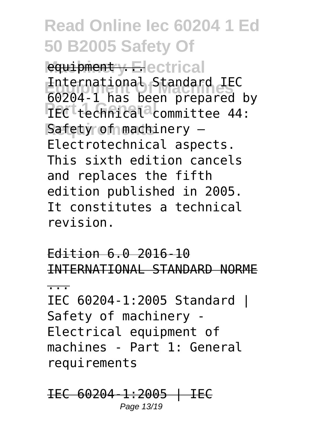equipment y Electrical **Equipment Of Machines** 60204-1 has been prepared by **TEC**<sup>t</sup>technical<sup>a</sup>committee 44: **Safety of machinery** -International Standard IEC Electrotechnical aspects. This sixth edition cancels and replaces the fifth edition published in 2005. It constitutes a technical revision.

Edition 6.0 2016-10 INTERNATIONAL STANDARD NORME ... IEC 60204-1:2005 Standard | Safety of machinery - Electrical equipment of machines - Part 1: General requirements

IEC 60204-1:2005 | IEC Page 13/19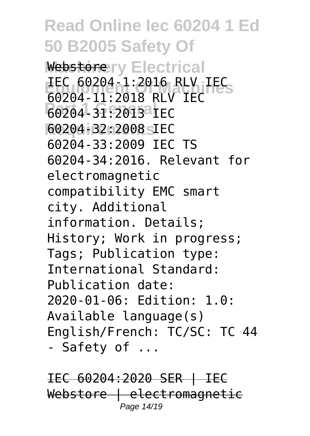#### **Read Online Iec 60204 1 Ed 50 B2005 Safety Of** Webstorery Electrical **Equipment Of Machines** IEC 60204-1:2016 RLV IEC **Part 1 General** 60204-31:2013 IEC **Requirements** 60204-32:2008 IEC 60204-11:2018 RLV IEC 60204-33:2009 IEC TS 60204-34:2016. Relevant for electromagnetic compatibility EMC smart city. Additional information. Details; History; Work in progress; Tags; Publication type: International Standard: Publication date: 2020-01-06: Edition: 1.0: Available language(s) English/French: TC/SC: TC 44 - Safety of ...

IEC 60204:2020 SER | IEC Webstore | electromagnetic Page 14/19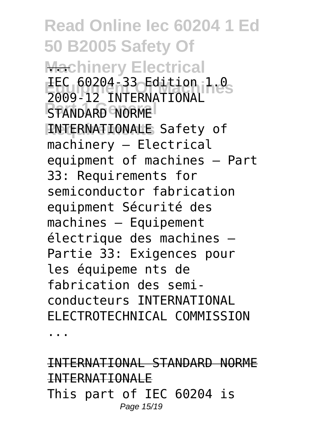**Read Online Iec 60204 1 Ed 50 B2005 Safety Of Machinery Electrical Equipment Of Machines** IEC 60204-33 Edition 1.0 **PART 1 GENERAL BRANCH RNTERNATIONALE Safety of** 2009-12 INTERNATIONAL machinery – Electrical equipment of machines – Part 33: Requirements for semiconductor fabrication equipment Sécurité des machines – Equipement électrique des machines – Partie 33: Exigences pour les équipeme nts de fabrication des semiconducteurs INTERNATIONAL ELECTROTECHNICAL COMMISSION

...

INTERNATIONAL STANDARD NORME INTERNATIONALE This part of IEC 60204 is Page 15/19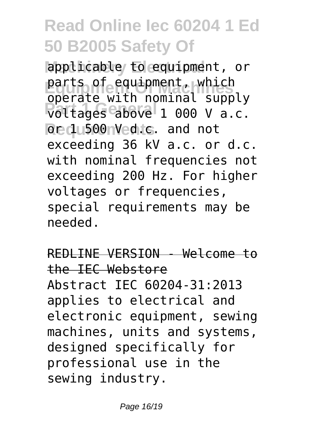applicable to equipment, or parts of equipment, which **Part 1 General** voltages above 1 000 V a.c. **Redu500nVedic.** and not operate with nominal supply exceeding 36 kV a.c. or d.c. with nominal frequencies not exceeding 200 Hz. For higher voltages or frequencies, special requirements may be needed.

REDLINE VERSION - Welcome to the IEC Webstore Abstract IEC 60204-31:2013 applies to electrical and electronic equipment, sewing machines, units and systems, designed specifically for professional use in the sewing industry.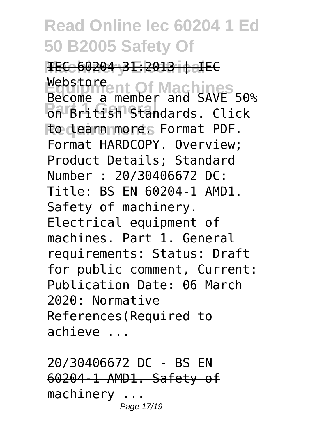**IEC 60204-31:2013 | IEC** Webstore ent Of Machines **Part 1 General Contracts** Click **Requirements** to learn more. Format PDF. Become a member and SAVE 50% Format HARDCOPY. Overview; Product Details; Standard Number : 20/30406672 DC: Title: BS EN 60204-1 AMD1. Safety of machinery. Electrical equipment of machines. Part 1. General requirements: Status: Draft for public comment, Current: Publication Date: 06 March 2020: Normative References(Required to achieve ...

20/30406672 DC - BS EN 60204-1 AMD1. Safety of machinery ... Page 17/19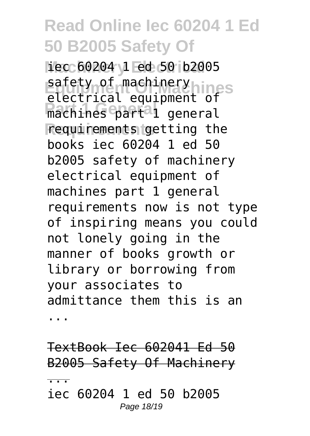**Machinery Electrical** iec 60204 1 ed 50 b2005 safety of machinery<br>
slectnical equipment  $\text{DPS}$ **Part 1 General** machines part 1 general **Requirements** requirements getting the electrical equipment of books iec 60204 1 ed 50 b2005 safety of machinery electrical equipment of machines part 1 general requirements now is not type of inspiring means you could not lonely going in the manner of books growth or library or borrowing from your associates to admittance them this is an ...

TextBook Iec 602041 Ed 50 B2005 Safety Of Machinery

...

iec 60204 1 ed 50 b2005 Page 18/19